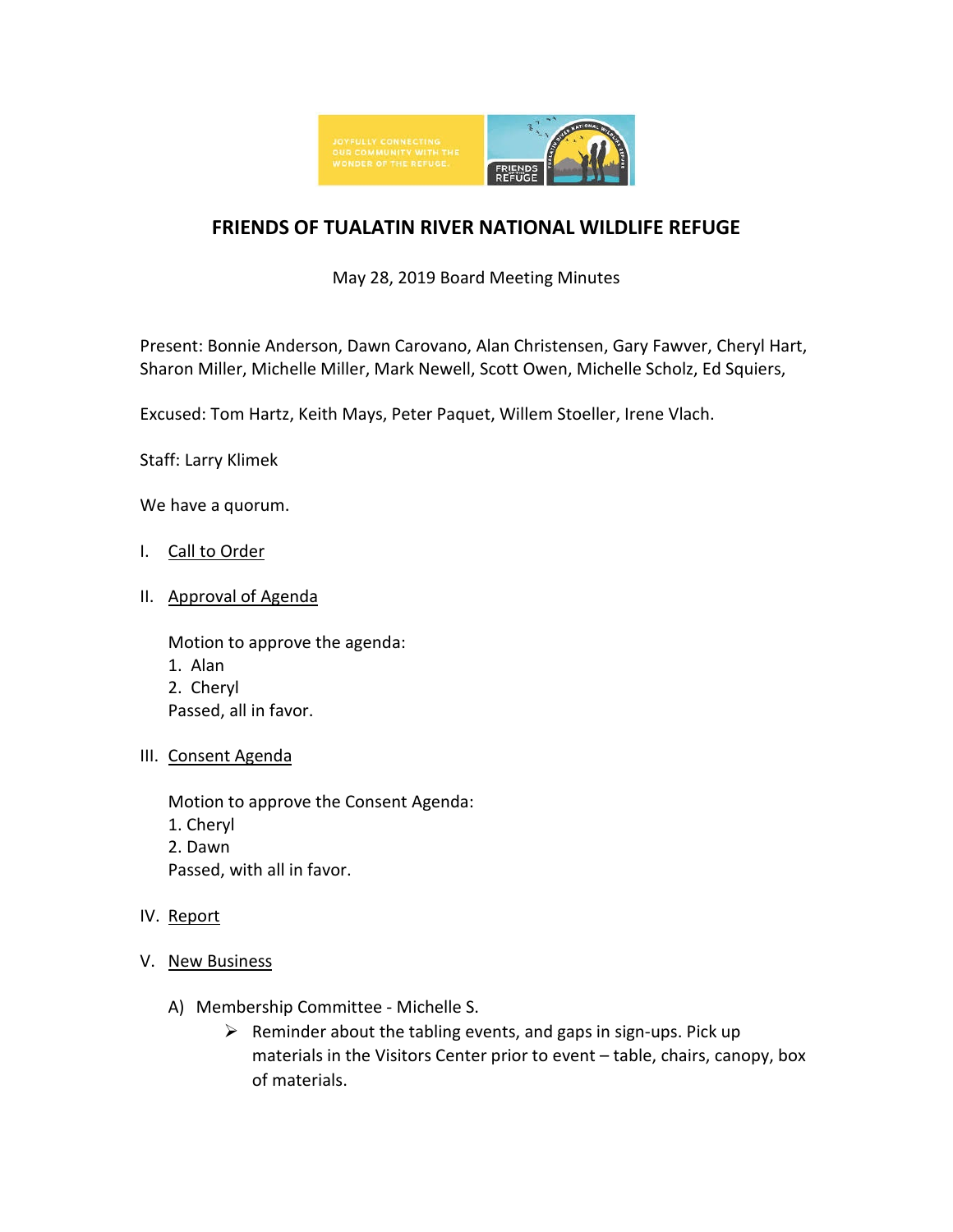

## **FRIENDS OF TUALATIN RIVER NATIONAL WILDLIFE REFUGE**

May 28, 2019 Board Meeting Minutes

Present: Bonnie Anderson, Dawn Carovano, Alan Christensen, Gary Fawver, Cheryl Hart, Sharon Miller, Michelle Miller, Mark Newell, Scott Owen, Michelle Scholz, Ed Squiers,

Excused: Tom Hartz, Keith Mays, Peter Paquet, Willem Stoeller, Irene Vlach.

Staff: Larry Klimek

We have a quorum.

- I. Call to Order
- II. Approval of Agenda

Motion to approve the agenda: 1. Alan 2. Cheryl Passed, all in favor.

III. Consent Agenda

Motion to approve the Consent Agenda: 1. Cheryl 2. Dawn Passed, with all in favor.

- IV. Report
- V. New Business
	- A) Membership Committee Michelle S.
		- $\triangleright$  Reminder about the tabling events, and gaps in sign-ups. Pick up materials in the Visitors Center prior to event – table, chairs, canopy, box of materials.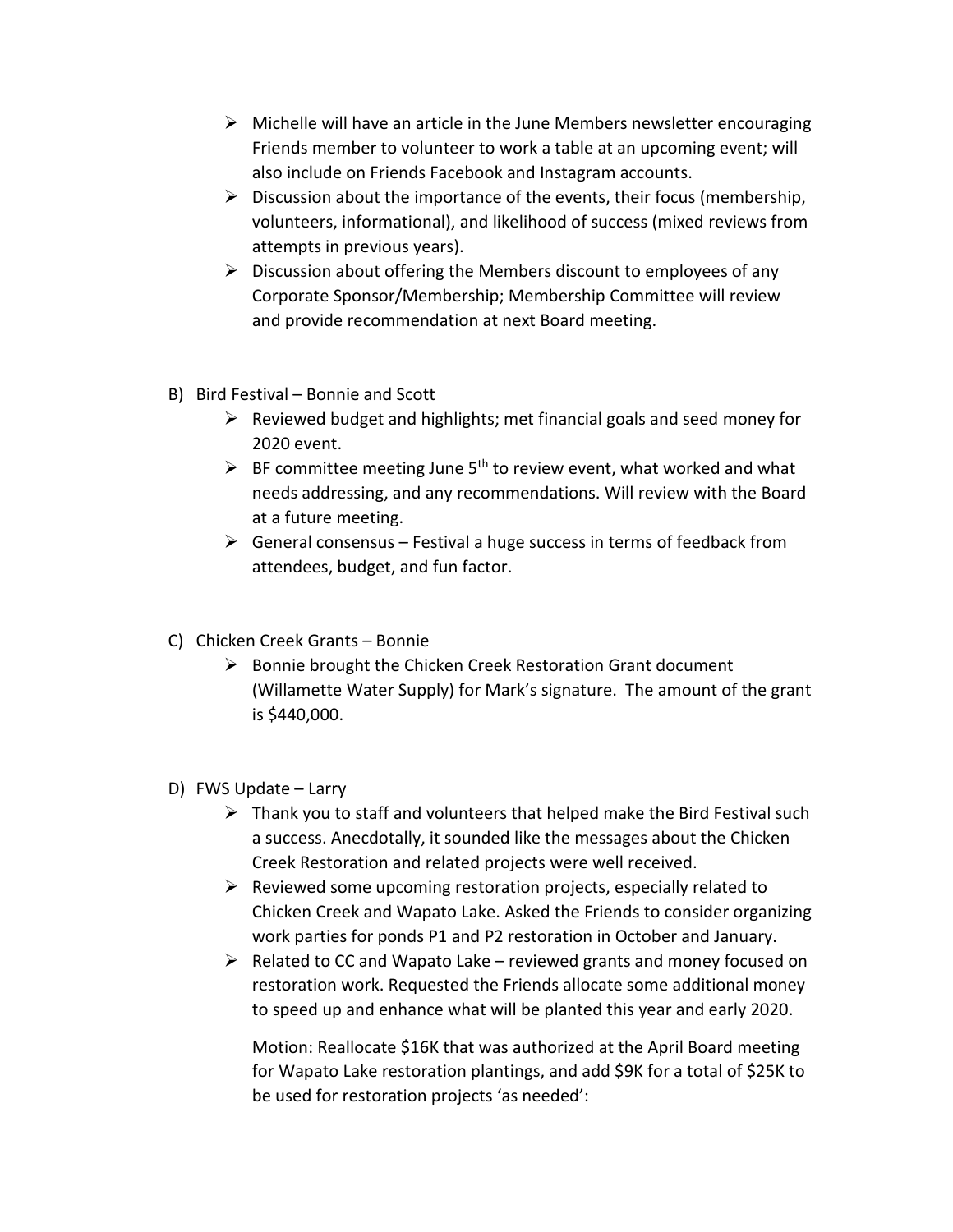- $\triangleright$  Michelle will have an article in the June Members newsletter encouraging Friends member to volunteer to work a table at an upcoming event; will also include on Friends Facebook and Instagram accounts.
- $\triangleright$  Discussion about the importance of the events, their focus (membership, volunteers, informational), and likelihood of success (mixed reviews from attempts in previous years).
- $\triangleright$  Discussion about offering the Members discount to employees of any Corporate Sponsor/Membership; Membership Committee will review and provide recommendation at next Board meeting.
- B) Bird Festival Bonnie and Scott
	- $\triangleright$  Reviewed budget and highlights; met financial goals and seed money for 2020 event.
	- $\triangleright$  BF committee meeting June 5<sup>th</sup> to review event, what worked and what needs addressing, and any recommendations. Will review with the Board at a future meeting.
	- $\triangleright$  General consensus Festival a huge success in terms of feedback from attendees, budget, and fun factor.
- C) Chicken Creek Grants Bonnie
	- $\triangleright$  Bonnie brought the Chicken Creek Restoration Grant document (Willamette Water Supply) for Mark's signature. The amount of the grant is \$440,000.
- D) FWS Update Larry
	- $\triangleright$  Thank you to staff and volunteers that helped make the Bird Festival such a success. Anecdotally, it sounded like the messages about the Chicken Creek Restoration and related projects were well received.
	- $\triangleright$  Reviewed some upcoming restoration projects, especially related to Chicken Creek and Wapato Lake. Asked the Friends to consider organizing work parties for ponds P1 and P2 restoration in October and January.
	- $\triangleright$  Related to CC and Wapato Lake reviewed grants and money focused on restoration work. Requested the Friends allocate some additional money to speed up and enhance what will be planted this year and early 2020.

Motion: Reallocate \$16K that was authorized at the April Board meeting for Wapato Lake restoration plantings, and add \$9K for a total of \$25K to be used for restoration projects 'as needed':